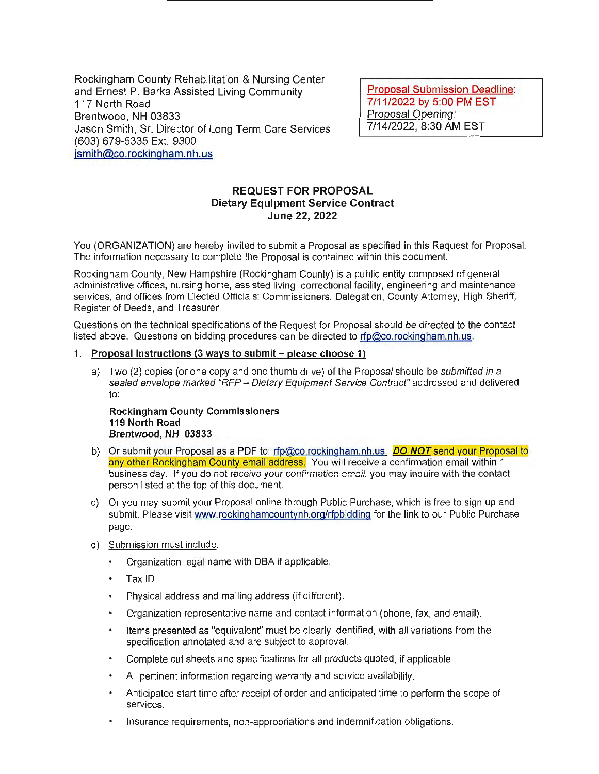Rockingham County Rehabilitation & Nursing Center and Ernest P. Sarka Assisted Living Community 117 North Road Brentwood, NH 03833 Jason Smith, Sr. Director of Long Term Care Services (603) 679-5335 Ext. 9300 jsmith@co.rockingham.nh.us

Proposal Submission Deadline: 7 /11 /2022 by 5:00 PM EST Proposal Opening: 7/14/2022, 8:30 AM EST

# REQUEST FOR PROPOSAL Dietary Equipment Service Contract June 22, 2022

You (ORGANIZATION) are hereby invited to submit a Proposal as specified in this Request for Proposal. The information necessary to complete the Proposal is contained within this document.

Rockingham County, New Hampshire (Rockingham County) is a public entity composed of general administrative offices, nursing home, assisted living, correctional facility, engineering and maintenance services, and offices from Elected Officials: Commissioners, Delegation, County Attorney, High Sheriff, Register of Deeds, and Treasurer.

Questions on the technical specifications of the Request for Proposal should be directed to the contact listed above. Questions on bidding procedures can be directed to rfp@co.rockingham.nh.us.

### 1. Proposal Instructions (3 ways to submit – please choose 1)

a) Two (2) copies (or one copy and one thumb drive) of the Proposal should be submitted in a sealed envelope marked "RFP - Dietary Equipment Service Contract" addressed and delivered to:

Rockingham County Commissioners 119 North Road Brentwood, NH 03833

- b) Or submit your Proposal as a PDF to: rfp@co.rockingham.nh.us. **DO NOT** send your Proposal to any other Rockingham County email address. You will receive a confirmation email within 1 business day. If you do not receive your confirmation email, you may inquire with the contact person listed at the top of this document.
- c) Or you may submit your Proposal online through Public Purchase, which is free to sign up and submit. Please visit www.rockinghamcountynh.org/rfpbidding for the link to our Public Purchase page.
- d) Submission must include:
	- $\bullet$ Organization legal name with OBA if applicable.
	- Tax ID.
	- Physical address and mailing address (if different).  $\bullet$
	- Organization representative name and contact information (phone, fax, and email).
	- Items presented as "equivalent" must be clearly identified, with all variations from the specification annotated and are subject to approval.
	- Complete cut sheets and specifications for all products quoted, if applicable.
	- All pertinent information regarding warranty and service availability.
	- Anticipated start time after receipt of order and anticipated time to perform the scope of services.
	- Insurance requirements, non-appropriations and indemnification obligations.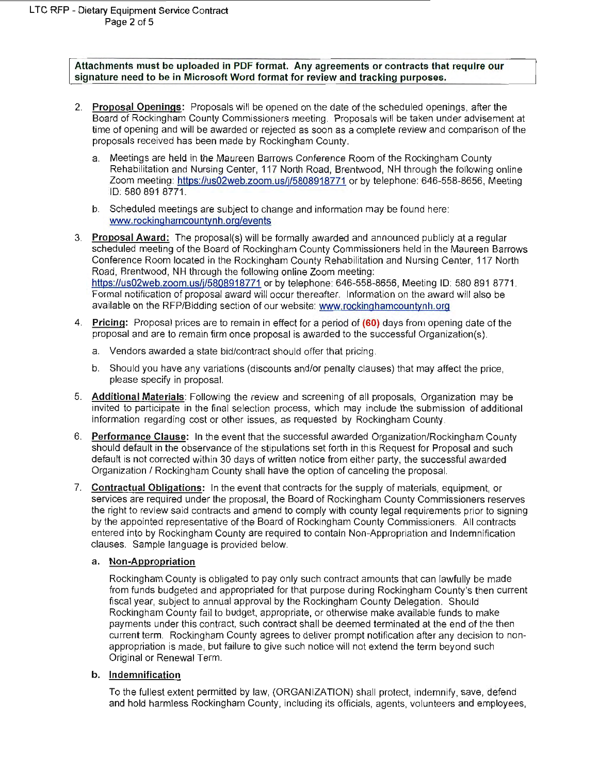Attachments must be uploaded in PDF format. Any agreements or contracts that require our signature need to be in Microsoft Word format for review and tracking purposes.

- 2. Proposal Openings: Proposals will be opened on the date of the scheduled openings, after the Board of Rockingham County Commissioners meeting. Proposals will be taken under advisement at time of opening and will be awarded or rejected as soon as a complete review and comparison of the proposals received has been made by Rockingham County.
	- a. Meetings are held in the Maureen Barrows Conference Room of the Rockingham County Rehabilitation and Nursing Center, 117 North Road, Brentwood, NH through the following online Zoom meeting: https://us02web.zoom.us/j/5808918771 or by telephone: 646-558-8656, Meeting ID: 580 891 8771.
	- b. Scheduled meetings are subject to change and information may be found here: www.rockinghamcountynh.org/events
- 3. Proposal Award: The proposal(s) will be formally awarded and announced publicly at a regular scheduled meeting of the Board of Rockingham County Commissioners held in the Maureen Barrows Conference Room located in the Rockingham County Rehabilitation and Nursing Center, 117 North Road, Brentwood, NH through the following online Zoom meeting: https://us02web.zoom.us/j/5808918771 or by telephone: 646-558-8656, Meeting ID: 580 891 8771. Formal notification of proposal award will occur thereafter. Information on the award will also be available on the RFP/Bidding section of our website: www.rockinghamcountynh.org
- 4. Pricing: Proposal prices are to remain in effect for a period of (60) days from opening date of the proposal and are to remain firm once proposal is awarded to the successful Organization(s).
	- a. Vendors awarded a state bid/contract should offer that pricing.
	- b. Should you have any variations (discounts and/or penalty clauses) that may affect the price, please specify in proposal.
- 5. Additional Materials: Following the review and screening of al l proposals, Organization may be invited to participate in the final selection process, which may include the submission of additional information regarding cost or other issues, as requested by Rockingham County.
- 6. Performance Clause: In the event that the successful awarded Organization/Rockingham County should default in the observance of the stipulations set forth in this Request for Proposal and such default is not corrected within 30 days of written notice from either party, the successful awarded Organization I Rockingham County shall have the option of canceling the proposal.
- 7. Contractual Obligations: In the event that contracts for the supply of materials, equipment, or services are required under the proposal, the Board of Rockingham County Commissioners reserves the right to review said contracts and amend to comply with county legal requirements prior to signing by the appointed representative of the Board of Rockingham County Commissioners. All contracts entered into by Rockingham County are required to contain Non-Appropriation and Indemnification clauses. Sample language is provided below.

## a. Non-Appropriation

Rockingham County is obligated to pay only such contract amounts that can lawfully be made from funds budgeted and appropriated for that purpose during Rockingham County's then current fiscal year, subject to annual approval by the Rockingham County Delegation. Should Rockingham County fail to budget, appropriate, or otherwise make available funds to make payments under this contract, such contract shall be deemed terminated at the end of the then current term. Rockingham County agrees to deliver prompt notification after any decision to nonappropriation is made, but failure to give such notice will not extend the term beyond such Original or Renewal Term.

## b. Indemnification

To the fullest extent permitted by law, (ORGANIZATION) shall protect, indemnify, save, defend and hold harmless Rockingham County, including its officials, agents, volunteers and employees,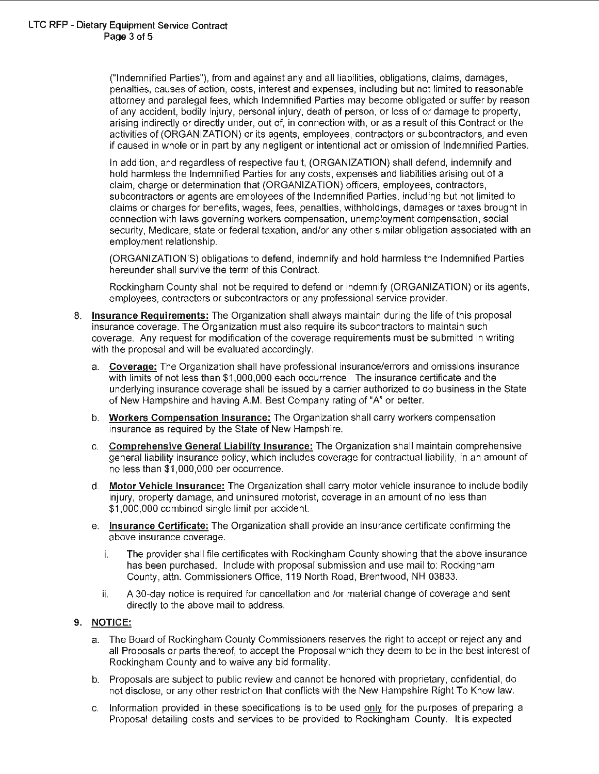("Indemnified Parties"), from and against any and all liabilities, obligations, claims, damages, penalties, causes of action, costs, interest and expenses, including but not limited to reasonable attorney and paralegal fees, which Indemnified Parties may become obligated or suffer by reason of any accident, bodily injury, personal injury, death of person, or loss of or damage to property, arising indirectly or directly under, out of, in connection with, or as a result of this Contract or the activities of (ORGANIZATION) or its agents, employees, contractors or subcontractors, and even if caused in whole or in part by any negligent or intentional act or omission of Indemnified Parties.

In addition, and regardless of respective fault, (ORGANIZATION) shall defend, indemnify and hold harmless the Indemnified Parties for any costs, expenses and liabilities arising out of a claim, charge or determination that (ORGANIZATION) officers, employees, contractors, subcontractors or agents are employees of the Indemnified Parties, including but not limited to claims or charges for benefits, wages, fees, penalties, withholdings, damages or taxes brought in connection with laws governing workers compensation, unemployment compensation, social security, Medicare, state or federal taxation, and/or any other similar obligation associated with an employment relationship.

(ORGANIZATION'S) obligations to defend, indemnify and hold harmless the Indemnified Parties hereunder shall survive the term of this Contract.

Rockingham County shall not be required to defend or indemnify (ORGANIZATION) or its agents, employees, contractors or subcontractors or any professional service provider.

- 8. Insurance Requirements: The Organization shall always maintain during the life of this proposal insurance coverage. The Organization must also require its subcontractors to maintain such coverage. Any request for modification of the coverage requirements must be submitted in writing with the proposal and will be evaluated accordingly.
	- a. Coverage: The Organization shall have professional insurance/errors and omissions insurance with limits of not less than \$1,000,000 each occurrence. The insurance certificate and the underlying insurance coverage shall be issued by a carrier authorized to do business in the State of New Hampshire and having AM. Best Company rating of "A" or better.
	- b. Workers Compensation Insurance: The Organization shall carry workers compensation insurance as required by the State of New Hampshire.
	- c. Comprehensive General Liability Insurance: The Organization shall maintain comprehensive general liability insurance policy, which includes coverage for contractual liability, in an amount of no less than \$1,000,000 per occurrence.
	- d. Motor Vehicle Insurance: The Organization shall carry motor vehicle insurance to include bodily injury, property damage, and uninsured motorist, coverage in an amount of no less than \$1,000,000 combined single limit per accident.
	- e. Insurance Certificate: The Organization shall provide an insurance certificate confirming the above insurance coverage.
		- i. The provider shall file certificates with Rockingham County showing that the above insurance has been purchased. Include with proposal submission and use mail to: Rockingham County, attn. Commissioners Office, 119 North Road, Brentwood, NH 03833.
		- ii. A 30-day notice is required for cancellation and /or material change of coverage and sent directly to the above mail to address.

## 9. NOTICE:

- a. The Board of Rockingham County Commissioners reserves the right to accept or reject any and all Proposals or parts thereof, to accept the Proposal which they deem to be in the best interest of Rockingham County and to waive any bid formality.
- b. Proposals are subject to public review and cannot be honored with proprietary, confidential, do not disclose, or any other restriction that conflicts with the New Hampshire Right To Know law.
- c. Information provided in these specifications is to be used only for the purposes of preparing a Proposal detailing costs and services to be provided to Rockingham County. It is expected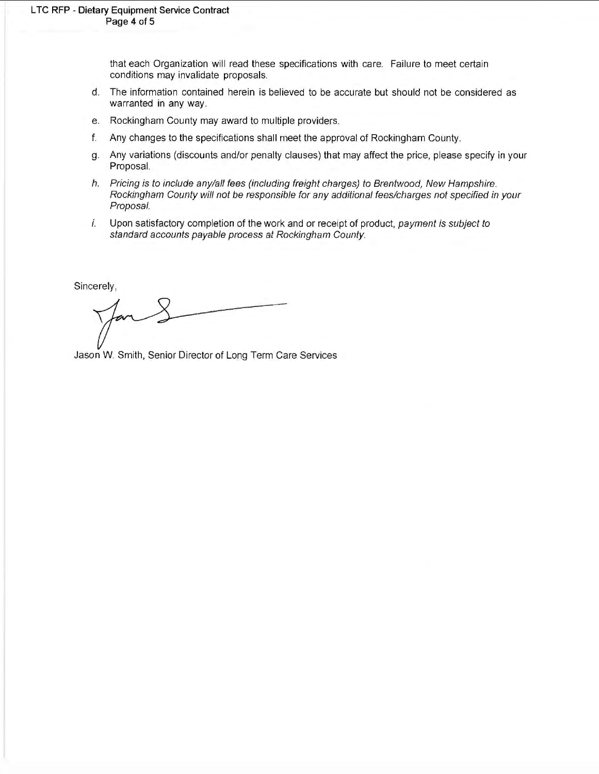that each Organization will read these specifications with care. Failure to meet certain conditions may invalidate proposals.

- d. The information contained herein is believed to be accurate but should not be considered as warranted **in** any way.
- e. Rockingham County may award to multiple providers.
- f. Any changes to the specifications shall meet the approval of Rockingham County.
- g. Any variations (discounts and/or penalty clauses) that may affect the price, please specify in your Proposal.
- h. Pricing is to include any/all fees (including freight charges) to Brentwood, New Hampshire. Rockingham County will not be responsible for any additional fees/charges not specified in your Proposal.
- i. Upon satisfactory completion of the work and or receipt of product, payment is subject to standard accounts payable process at Rockingham County.

Sincerely,

Jason W. Smith, Senior Director of Long Term Care Services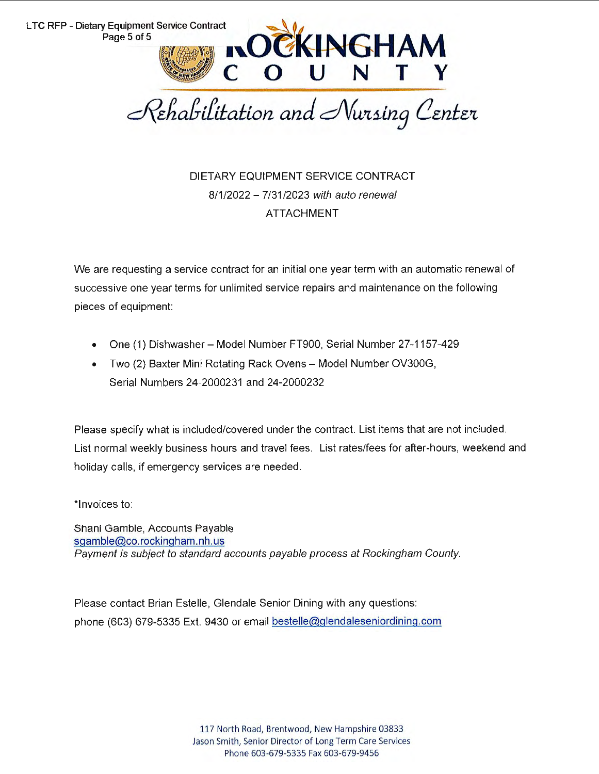

DIETARY EQUIPMENT SERVICE CONTRACT 8/1/2022 - 7/31/2023 with auto renewal ATTACHMENT

We are requesting a service contract for an initial one year term with an automatic renewal of successive one year terms for unlimited service repairs and maintenance on the following pieces of equipment:

- One (1) Dishwasher- Model Number FT900, Serial Number 27-1157-429
- Two (2) Baxter Mini Rotating Rack Ovens Model Number OV300G, Serial Numbers 24-2000231 and 24-2000232

Please specify what is included/covered under the contract. List items that are not included. List normal weekly business hours and travel fees. List rates/fees for after-hours, weekend and holiday calls, if emergency services are needed.

\*Invoices to:

Shani Gamble, Accounts Payable sgamble@co.rockingham.nh.us Payment is subject to standard accounts payable process at Rockingham County.

Please contact Brian Estelle, Glendale Senior Dining with any questions: phone (603) 679-5335 Ext. 9430 or email bestelle@glendaleseniordining.com

> 117 North Road, Brentwood, New Hampshire 03833 Jason Smith, Senior Director of Long Term Care Services Phone 603-679-5335 Fax 603-679-9456